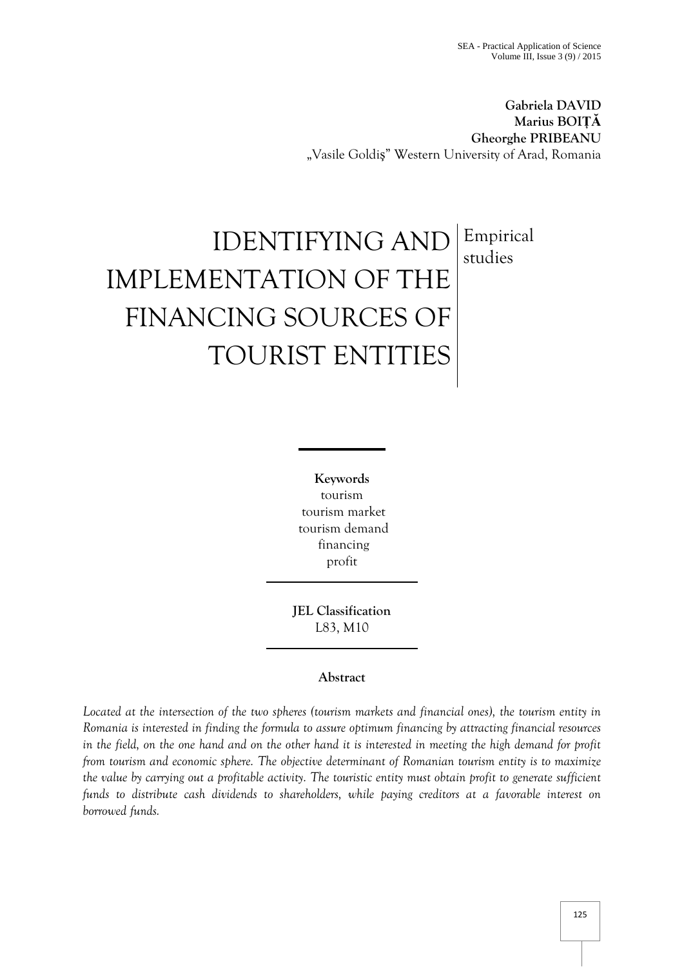**Gabriela DAVID Marius BOIȚĂ Gheorghe PRIBEANU** "Vasile Goldiş" Western University of Arad, Romania

# IDENTIFYING AND IMPLEMENTATION OF THE FINANCING SOURCES OF TOURIST ENTITIES Empirical studies

**Keywords** tourism tourism market tourism demand financing profit

**JEL Classification**  L83, M10

# **Abstract**

*Located at the intersection of the two spheres (tourism markets and financial ones), the tourism entity in Romania is interested in finding the formula to assure optimum financing by attracting financial resources in the field, on the one hand and on the other hand it is interested in meeting the high demand for profit from tourism and economic sphere. The objective determinant of Romanian tourism entity is to maximize the value by carrying out a profitable activity. The touristic entity must obtain profit to generate sufficient funds to distribute cash dividends to shareholders, while paying creditors at a favorable interest on borrowed funds.*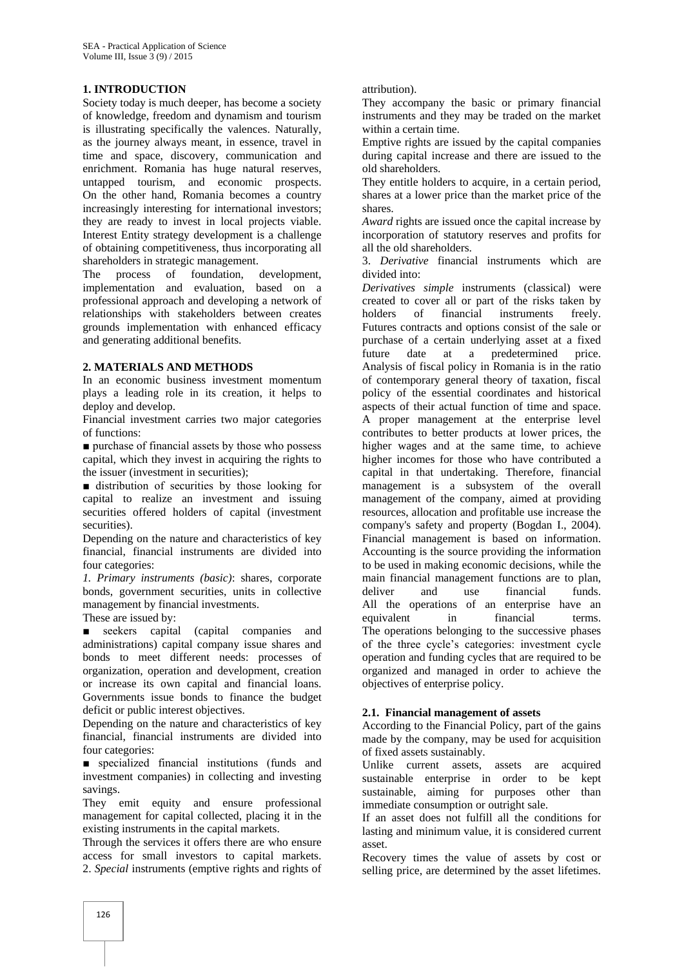# **1. INTRODUCTION**

Society today is much deeper, has become a society of knowledge, freedom and dynamism and tourism is illustrating specifically the valences. Naturally, as the journey always meant, in essence, travel in time and space, discovery, communication and enrichment. Romania has huge natural reserves, untapped tourism, and economic prospects. On the other hand, Romania becomes a country increasingly interesting for international investors; they are ready to invest in local projects viable. Interest Entity strategy development is a challenge of obtaining competitiveness, thus incorporating all shareholders in strategic management.

The process of foundation, development, implementation and evaluation, based on a professional approach and developing a network of relationships with stakeholders between creates grounds implementation with enhanced efficacy and generating additional benefits.

# **2. MATERIALS AND METHODS**

In an economic business investment momentum plays a leading role in its creation, it helps to deploy and develop.

Financial investment carries two major categories of functions:

■ purchase of financial assets by those who possess capital, which they invest in acquiring the rights to the issuer (investment in securities);

■ distribution of securities by those looking for capital to realize an investment and issuing securities offered holders of capital (investment securities).

Depending on the nature and characteristics of key financial, financial instruments are divided into four categories:

*1. Primary instruments (basic)*: shares, corporate bonds, government securities, units in collective management by financial investments.

These are issued by:

■ seekers capital (capital companies and administrations) capital company issue shares and bonds to meet different needs: processes of organization, operation and development, creation or increase its own capital and financial loans. Governments issue bonds to finance the budget deficit or public interest objectives.

Depending on the nature and characteristics of key financial, financial instruments are divided into four categories:

■ specialized financial institutions (funds and investment companies) in collecting and investing savings.

They emit equity and ensure professional management for capital collected, placing it in the existing instruments in the capital markets.

Through the services it offers there are who ensure access for small investors to capital markets. 2. *Special* instruments (emptive rights and rights of

#### attribution).

They accompany the basic or primary financial instruments and they may be traded on the market within a certain time.

Emptive rights are issued by the capital companies during capital increase and there are issued to the old shareholders.

They entitle holders to acquire, in a certain period, shares at a lower price than the market price of the shares.

*Award* rights are issued once the capital increase by incorporation of statutory reserves and profits for all the old shareholders.

3. *Derivative* financial instruments which are divided into:

*Derivatives simple* instruments (classical) were created to cover all or part of the risks taken by holders of financial instruments freely. Futures contracts and options consist of the sale or purchase of a certain underlying asset at a fixed future date at a predetermined price. Analysis of fiscal policy in Romania is in the ratio of contemporary general theory of taxation, fiscal policy of the essential coordinates and historical aspects of their actual function of time and space. A proper management at the enterprise level contributes to better products at lower prices, the higher wages and at the same time, to achieve higher incomes for those who have contributed a capital in that undertaking. Therefore, financial management is a subsystem of the overall management of the company, aimed at providing resources, allocation and profitable use increase the company's safety and property (Bogdan I., 2004). Financial management is based on information. Accounting is the source providing the information to be used in making economic decisions, while the main financial management functions are to plan, deliver and use financial funds. All the operations of an enterprise have an equivalent in financial terms. The operations belonging to the successive phases of the three cycle's categories: investment cycle operation and funding cycles that are required to be organized and managed in order to achieve the objectives of enterprise policy.

# **2.1. Financial management of assets**

According to the Financial Policy, part of the gains made by the company, may be used for acquisition of fixed assets sustainably.

Unlike current assets, assets are acquired sustainable enterprise in order to be kept sustainable, aiming for purposes other than immediate consumption or outright sale.

If an asset does not fulfill all the conditions for lasting and minimum value, it is considered current asset.

Recovery times the value of assets by cost or selling price, are determined by the asset lifetimes.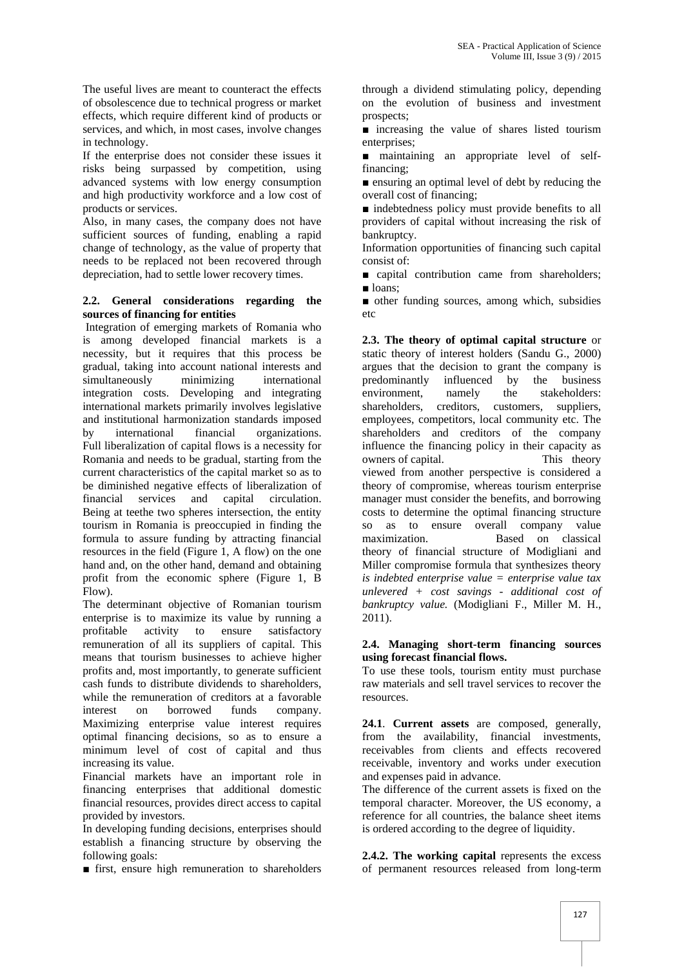The useful lives are meant to counteract the effects of obsolescence due to technical progress or market effects, which require different kind of products or services, and which, in most cases, involve changes in technology.

If the enterprise does not consider these issues it risks being surpassed by competition, using advanced systems with low energy consumption and high productivity workforce and a low cost of products or services.

Also, in many cases, the company does not have sufficient sources of funding, enabling a rapid change of technology, as the value of property that needs to be replaced not been recovered through depreciation, had to settle lower recovery times.

#### **2.2. General considerations regarding the sources of financing for entities**

Integration of emerging markets of Romania who is among developed financial markets is a necessity, but it requires that this process be gradual, taking into account national interests and simultaneously minimizing international integration costs. Developing and integrating international markets primarily involves legislative and institutional harmonization standards imposed by international financial organizations. Full liberalization of capital flows is a necessity for Romania and needs to be gradual, starting from the current characteristics of the capital market so as to be diminished negative effects of liberalization of financial services and capital circulation. Being at teethe two spheres intersection, the entity tourism in Romania is preoccupied in finding the formula to assure funding by attracting financial resources in the field (Figure 1, A flow) on the one hand and, on the other hand, demand and obtaining profit from the economic sphere (Figure 1, B Flow).

The determinant objective of Romanian tourism enterprise is to maximize its value by running a profitable activity to ensure satisfactory remuneration of all its suppliers of capital. This means that tourism businesses to achieve higher profits and, most importantly, to generate sufficient cash funds to distribute dividends to shareholders, while the remuneration of creditors at a favorable interest on borrowed funds company. Maximizing enterprise value interest requires optimal financing decisions, so as to ensure a minimum level of cost of capital and thus increasing its value.

Financial markets have an important role in financing enterprises that additional domestic financial resources, provides direct access to capital provided by investors.

In developing funding decisions, enterprises should establish a financing structure by observing the following goals:

■ first, ensure high remuneration to shareholders

through a dividend stimulating policy, depending on the evolution of business and investment prospects;

■ increasing the value of shares listed tourism enterprises;

■ maintaining an appropriate level of selffinancing;

■ ensuring an optimal level of debt by reducing the overall cost of financing;

■ indebtedness policy must provide benefits to all providers of capital without increasing the risk of bankruptcy.

Information opportunities of financing such capital consist of:

■ capital contribution came from shareholders; ■ loans:

■ other funding sources, among which, subsidies etc

**2.3. The theory of optimal capital structure** or static theory of interest holders (Sandu G., 2000) argues that the decision to grant the company is predominantly influenced by the business environment, namely the stakeholders: shareholders, creditors, customers, suppliers, employees, competitors, local community etc. The shareholders and creditors of the company influence the financing policy in their capacity as owners of capital. This theory viewed from another perspective is considered a theory of compromise, whereas tourism enterprise manager must consider the benefits, and borrowing costs to determine the optimal financing structure so as to ensure overall company value maximization. Based on classical theory of financial structure of Modigliani and Miller compromise formula that synthesizes theory *is indebted enterprise value = enterprise value tax unlevered + cost savings - additional cost of bankruptcy value.* (Modigliani F., Miller M. H., 2011).

#### **2.4. Managing short-term financing sources using forecast financial flows.**

To use these tools, tourism entity must purchase raw materials and sell travel services to recover the resources.

**24.1**. **Current assets** are composed, generally, from the availability, financial investments, receivables from clients and effects recovered receivable, inventory and works under execution and expenses paid in advance.

The difference of the current assets is fixed on the temporal character. Moreover, the US economy, a reference for all countries, the balance sheet items is ordered according to the degree of liquidity.

**2.4.2. The working capital** represents the excess of permanent resources released from long-term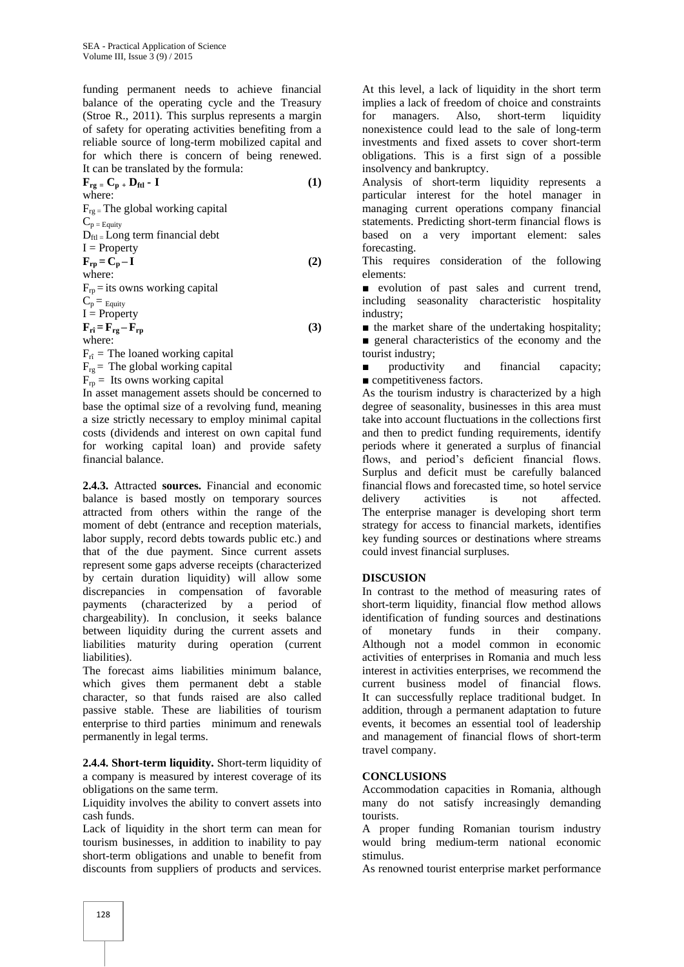funding permanent needs to achieve financial balance of the operating cycle and the Treasury (Stroe R., 2011). This surplus represents a margin of safety for operating activities benefiting from a reliable source of long-term mobilized capital and for which there is concern of being renewed. It can be translated by the formula:

$$
\mathbf{F}_{rg} = \mathbf{C}_{p} + \mathbf{D}_{ftl} - \mathbf{I}
$$
\nwhere:  
\n
$$
F_{rg} = \text{The global working capital}
$$
\n
$$
C_{p} = E_{quity}
$$
\n
$$
D_{ftl} = Long term financial debt
$$
\n
$$
\mathbf{I} = Property
$$
\n
$$
\mathbf{F}_{rp} = \mathbf{C}_{p} - \mathbf{I}
$$
\nwhere:  
\n
$$
F_{rp} = \text{its owns working capital}
$$
\n
$$
C_{p} = E_{quity}
$$
\n
$$
\mathbf{I} = Property
$$

 $\mathbf{F}_{\mathbf{r}\hat{\mathbf{i}}} = \mathbf{F}_{\mathbf{r}\mathbf{g}} - \mathbf{F}_{\mathbf{r}\mathbf{p}}$  (3) where:

 $F_{\hat{n}}$  = The loaned working capital  $F_{\text{re}}$  = The global working capital

 $F_{\text{rp}} =$  Its owns working capital

In asset management assets should be concerned to base the optimal size of a revolving fund, meaning a size strictly necessary to employ minimal capital costs (dividends and interest on own capital fund for working capital loan) and provide safety financial balance.

**2.4.3.** Attracted **sources.** Financial and economic balance is based mostly on temporary sources attracted from others within the range of the moment of debt (entrance and reception materials, labor supply, record debts towards public etc.) and that of the due payment. Since current assets represent some gaps adverse receipts (characterized by certain duration liquidity) will allow some discrepancies in compensation of favorable payments (characterized by a period of chargeability). In conclusion, it seeks balance between liquidity during the current assets and liabilities maturity during operation (current liabilities).

The forecast aims liabilities minimum balance, which gives them permanent debt a stable character, so that funds raised are also called passive stable. These are liabilities of tourism enterprise to third parties minimum and renewals permanently in legal terms.

**2.4.4. Short-term liquidity.** Short-term liquidity of a company is measured by interest coverage of its obligations on the same term.

Liquidity involves the ability to convert assets into cash funds.

Lack of liquidity in the short term can mean for tourism businesses, in addition to inability to pay short-term obligations and unable to benefit from discounts from suppliers of products and services.

At this level, a lack of liquidity in the short term implies a lack of freedom of choice and constraints for managers. Also, short-term liquidity nonexistence could lead to the sale of long-term investments and fixed assets to cover short-term obligations. This is a first sign of a possible insolvency and bankruptcy.

Analysis of short-term liquidity represents a particular interest for the hotel manager in managing current operations company financial statements. Predicting short-term financial flows is based on a very important element: sales forecasting.

This requires consideration of the following elements:

■ evolution of past sales and current trend, including seasonality characteristic hospitality industry;

■ the market share of the undertaking hospitality; ■ general characteristics of the economy and the tourist industry;

productivity and financial capacity; ■ competitiveness factors.

As the tourism industry is characterized by a high degree of seasonality, businesses in this area must take into account fluctuations in the collections first and then to predict funding requirements, identify periods where it generated a surplus of financial flows, and period's deficient financial flows. Surplus and deficit must be carefully balanced financial flows and forecasted time, so hotel service delivery activities is not affected. The enterprise manager is developing short term strategy for access to financial markets, identifies key funding sources or destinations where streams could invest financial surpluses.

# **DISCUSION**

In contrast to the method of measuring rates of short-term liquidity, financial flow method allows identification of funding sources and destinations of monetary funds in their company. Although not a model common in economic activities of enterprises in Romania and much less interest in activities enterprises, we recommend the current business model of financial flows. It can successfully replace traditional budget. In addition, through a permanent adaptation to future events, it becomes an essential tool of leadership and management of financial flows of short-term travel company.

# **CONCLUSIONS**

Accommodation capacities in Romania, although many do not satisfy increasingly demanding tourists.

A proper funding Romanian tourism industry would bring medium-term national economic stimulus.

As renowned tourist enterprise market performance